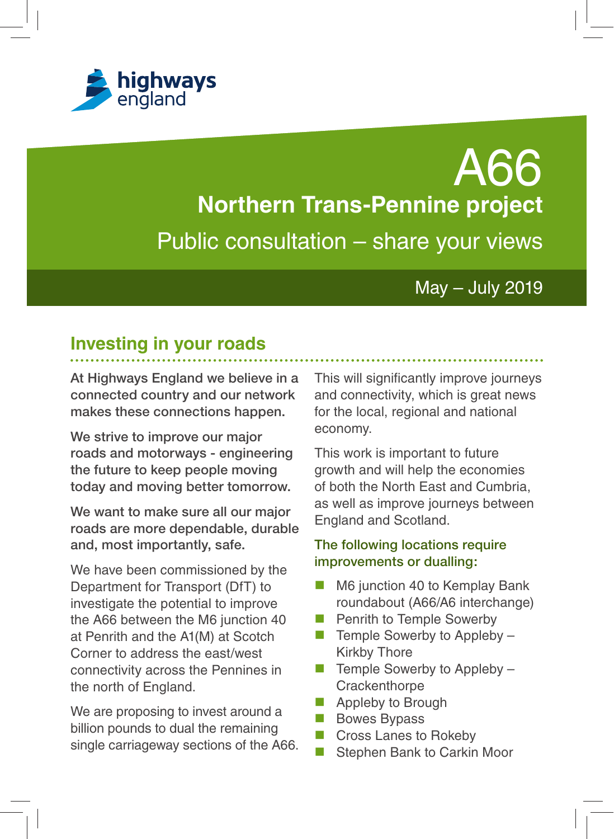

A66 **Northern Trans-Pennine project**  Public consultation – share your views

## May – July 2019

# **Investing in your roads**

**At Highways England we believe in a connected country and our network makes these connections happen.**

**We strive to improve our major roads and motorways - engineering the future to keep people moving today and moving better tomorrow.**

**We want to make sure all our major roads are more dependable, durable and, most importantly, safe.** 

We have been commissioned by the Department for Transport (DfT) to investigate the potential to improve the A66 between the M6 junction 40 at Penrith and the A1(M) at Scotch Corner to address the east/west connectivity across the Pennines in the north of England.

We are proposing to invest around a billion pounds to dual the remaining single carriageway sections of the A66. This will significantly improve journeys and connectivity, which is great news for the local, regional and national economy.

This work is important to future growth and will help the economies of both the North East and Cumbria, as well as improve journeys between England and Scotland.

### **The following locations require improvements or dualling:**

- M6 junction 40 to Kemplay Bank roundabout (A66/A6 interchange)
- Penrith to Temple Sowerby
- $\blacksquare$  Temple Sowerby to Appleby  $\blacksquare$ Kirkby Thore
- $\blacksquare$  Temple Sowerby to Appleby  $\blacksquare$ **Crackenthorpe**
- Appleby to Brough
- **Bowes Bypass**
- Cross Lanes to Rokeby
- Stephen Bank to Carkin Moor